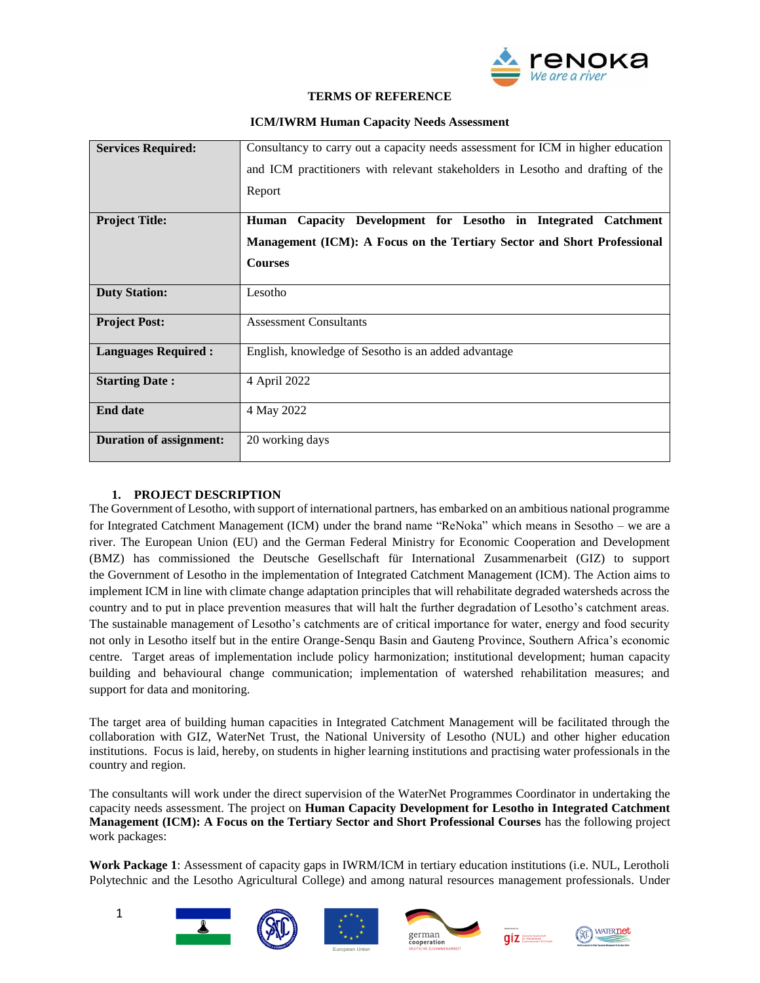

#### **TERMS OF REFERENCE**

| <b>Services Required:</b>      | Consultancy to carry out a capacity needs assessment for ICM in higher education |
|--------------------------------|----------------------------------------------------------------------------------|
|                                | and ICM practitioners with relevant stakeholders in Lesotho and drafting of the  |
|                                | Report                                                                           |
| <b>Project Title:</b>          | Capacity Development for Lesotho in Integrated<br><b>Catchment</b><br>Human      |
|                                | Management (ICM): A Focus on the Tertiary Sector and Short Professional          |
|                                | <b>Courses</b>                                                                   |
| <b>Duty Station:</b>           | Lesotho                                                                          |
| <b>Project Post:</b>           | <b>Assessment Consultants</b>                                                    |
| <b>Languages Required:</b>     | English, knowledge of Sesotho is an added advantage                              |
| <b>Starting Date:</b>          | 4 April 2022                                                                     |
| <b>End date</b>                | 4 May 2022                                                                       |
| <b>Duration of assignment:</b> | 20 working days                                                                  |

# **ICM/IWRM Human Capacity Needs Assessment**

# **1. PROJECT DESCRIPTION**

The Government of Lesotho, with support of international partners, has embarked on an ambitious national programme for Integrated Catchment Management (ICM) under the brand name "ReNoka" which means in Sesotho – we are a river. The European Union (EU) and the German Federal Ministry for Economic Cooperation and Development (BMZ) has commissioned the Deutsche Gesellschaft für International Zusammenarbeit (GIZ) to support the Government of Lesotho in the implementation of Integrated Catchment Management (ICM). The Action aims to implement ICM in line with climate change adaptation principles that will rehabilitate degraded watersheds across the country and to put in place prevention measures that will halt the further degradation of Lesotho's catchment areas. The sustainable management of Lesotho's catchments are of critical importance for water, energy and food security not only in Lesotho itself but in the entire Orange-Senqu Basin and Gauteng Province, Southern Africa's economic centre. Target areas of implementation include policy harmonization; institutional development; human capacity building and behavioural change communication; implementation of watershed rehabilitation measures; and support for data and monitoring.

The target area of building human capacities in Integrated Catchment Management will be facilitated through the collaboration with GIZ, WaterNet Trust, the National University of Lesotho (NUL) and other higher education institutions. Focus is laid, hereby, on students in higher learning institutions and practising water professionals in the country and region.

The consultants will work under the direct supervision of the WaterNet Programmes Coordinator in undertaking the capacity needs assessment. The project on **Human Capacity Development for Lesotho in Integrated Catchment Management (ICM): A Focus on the Tertiary Sector and Short Professional Courses** has the following project work packages:

**Work Package 1**: Assessment of capacity gaps in IWRM/ICM in tertiary education institutions (i.e. NUL, Lerotholi Polytechnic and the Lesotho Agricultural College) and among natural resources management professionals. Under













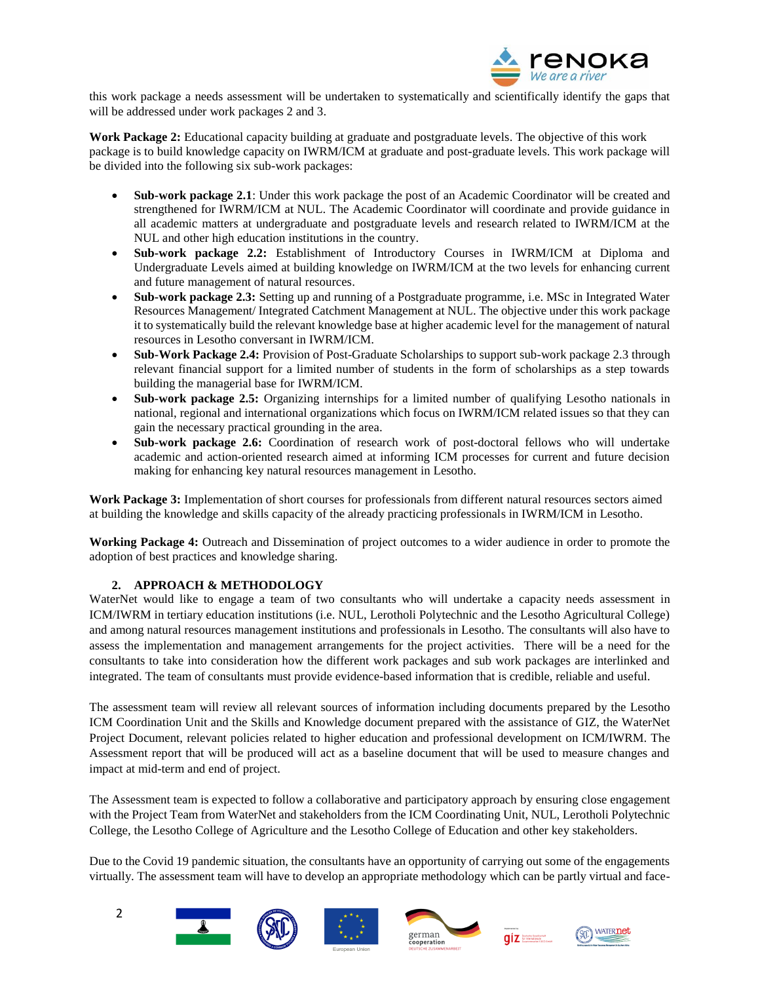

this work package a needs assessment will be undertaken to systematically and scientifically identify the gaps that will be addressed under work packages 2 and 3.

**Work Package 2:** Educational capacity building at graduate and postgraduate levels. The objective of this work package is to build knowledge capacity on IWRM/ICM at graduate and post-graduate levels. This work package will be divided into the following six sub-work packages:

- **Sub-work package 2.1**: Under this work package the post of an Academic Coordinator will be created and strengthened for IWRM/ICM at NUL. The Academic Coordinator will coordinate and provide guidance in all academic matters at undergraduate and postgraduate levels and research related to IWRM/ICM at the NUL and other high education institutions in the country.
- **Sub-work package 2.2:** Establishment of Introductory Courses in IWRM/ICM at Diploma and Undergraduate Levels aimed at building knowledge on IWRM/ICM at the two levels for enhancing current and future management of natural resources.
- **Sub-work package 2.3:** Setting up and running of a Postgraduate programme, i.e. MSc in Integrated Water Resources Management/ Integrated Catchment Management at NUL. The objective under this work package it to systematically build the relevant knowledge base at higher academic level for the management of natural resources in Lesotho conversant in IWRM/ICM.
- **Sub-Work Package 2.4:** Provision of Post-Graduate Scholarships to support sub-work package 2.3 through relevant financial support for a limited number of students in the form of scholarships as a step towards building the managerial base for IWRM/ICM.
- **Sub-work package 2.5:** Organizing internships for a limited number of qualifying Lesotho nationals in national, regional and international organizations which focus on IWRM/ICM related issues so that they can gain the necessary practical grounding in the area.
- **Sub-work package 2.6:** Coordination of research work of post-doctoral fellows who will undertake academic and action-oriented research aimed at informing ICM processes for current and future decision making for enhancing key natural resources management in Lesotho.

**Work Package 3:** Implementation of short courses for professionals from different natural resources sectors aimed at building the knowledge and skills capacity of the already practicing professionals in IWRM/ICM in Lesotho.

**Working Package 4:** Outreach and Dissemination of project outcomes to a wider audience in order to promote the adoption of best practices and knowledge sharing.

# **2. APPROACH & METHODOLOGY**

WaterNet would like to engage a team of two consultants who will undertake a capacity needs assessment in ICM/IWRM in tertiary education institutions (i.e. NUL, Lerotholi Polytechnic and the Lesotho Agricultural College) and among natural resources management institutions and professionals in Lesotho. The consultants will also have to assess the implementation and management arrangements for the project activities. There will be a need for the consultants to take into consideration how the different work packages and sub work packages are interlinked and integrated. The team of consultants must provide evidence-based information that is credible, reliable and useful.

The assessment team will review all relevant sources of information including documents prepared by the Lesotho ICM Coordination Unit and the Skills and Knowledge document prepared with the assistance of GIZ, the WaterNet Project Document, relevant policies related to higher education and professional development on ICM/IWRM. The Assessment report that will be produced will act as a baseline document that will be used to measure changes and impact at mid-term and end of project.

The Assessment team is expected to follow a collaborative and participatory approach by ensuring close engagement with the Project Team from WaterNet and stakeholders from the ICM Coordinating Unit, NUL, Lerotholi Polytechnic College, the Lesotho College of Agriculture and the Lesotho College of Education and other key stakeholders.

Due to the Covid 19 pandemic situation, the consultants have an opportunity of carrying out some of the engagements virtually. The assessment team will have to develop an appropriate methodology which can be partly virtual and face-













 $\overline{\mathbf{q}}$   $\overline{\mathbf{z}}$  and the formulation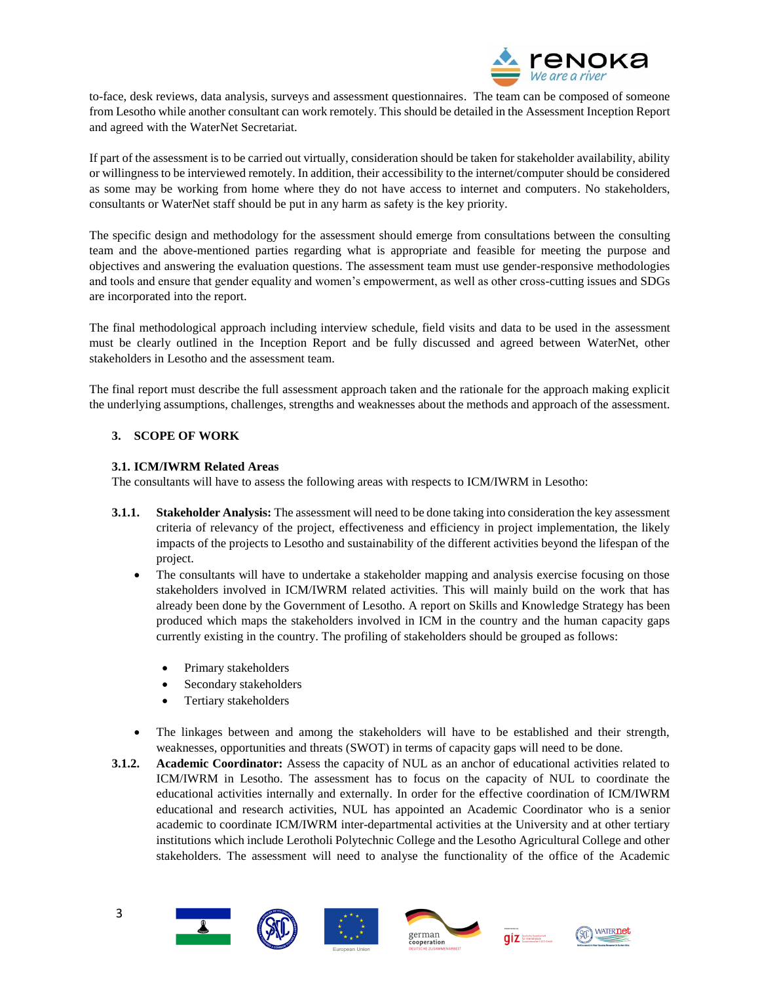

to-face, desk reviews, data analysis, surveys and assessment questionnaires. The team can be composed of someone from Lesotho while another consultant can work remotely. This should be detailed in the Assessment Inception Report and agreed with the WaterNet Secretariat.

If part of the assessment is to be carried out virtually, consideration should be taken for stakeholder availability, ability or willingness to be interviewed remotely. In addition, their accessibility to the internet/computer should be considered as some may be working from home where they do not have access to internet and computers. No stakeholders, consultants or WaterNet staff should be put in any harm as safety is the key priority.

The specific design and methodology for the assessment should emerge from consultations between the consulting team and the above-mentioned parties regarding what is appropriate and feasible for meeting the purpose and objectives and answering the evaluation questions. The assessment team must use gender-responsive methodologies and tools and ensure that gender equality and women's empowerment, as well as other cross-cutting issues and SDGs are incorporated into the report.

The final methodological approach including interview schedule, field visits and data to be used in the assessment must be clearly outlined in the Inception Report and be fully discussed and agreed between WaterNet, other stakeholders in Lesotho and the assessment team.

The final report must describe the full assessment approach taken and the rationale for the approach making explicit the underlying assumptions, challenges, strengths and weaknesses about the methods and approach of the assessment.

# **3. SCOPE OF WORK**

# **3.1. ICM/IWRM Related Areas**

The consultants will have to assess the following areas with respects to ICM/IWRM in Lesotho:

- **3.1.1. Stakeholder Analysis:** The assessment will need to be done taking into consideration the key assessment criteria of relevancy of the project, effectiveness and efficiency in project implementation, the likely impacts of the projects to Lesotho and sustainability of the different activities beyond the lifespan of the project.
	- The consultants will have to undertake a stakeholder mapping and analysis exercise focusing on those stakeholders involved in ICM/IWRM related activities. This will mainly build on the work that has already been done by the Government of Lesotho. A report on Skills and Knowledge Strategy has been produced which maps the stakeholders involved in ICM in the country and the human capacity gaps currently existing in the country. The profiling of stakeholders should be grouped as follows:
		- Primary stakeholders
		- Secondary stakeholders
		- Tertiary stakeholders
	- The linkages between and among the stakeholders will have to be established and their strength, weaknesses, opportunities and threats (SWOT) in terms of capacity gaps will need to be done.
- **3.1.2. Academic Coordinator:** Assess the capacity of NUL as an anchor of educational activities related to ICM/IWRM in Lesotho. The assessment has to focus on the capacity of NUL to coordinate the educational activities internally and externally. In order for the effective coordination of ICM/IWRM educational and research activities, NUL has appointed an Academic Coordinator who is a senior academic to coordinate ICM/IWRM inter-departmental activities at the University and at other tertiary institutions which include Lerotholi Polytechnic College and the Lesotho Agricultural College and other stakeholders. The assessment will need to analyse the functionality of the office of the Academic









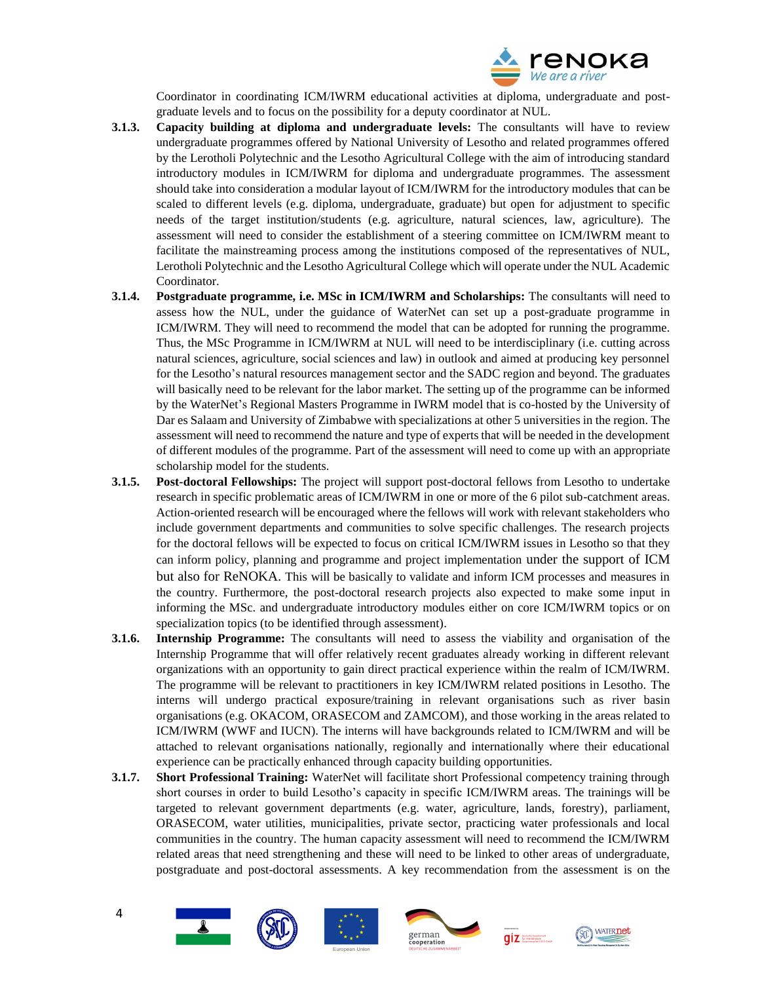

Coordinator in coordinating ICM/IWRM educational activities at diploma, undergraduate and postgraduate levels and to focus on the possibility for a deputy coordinator at NUL.

- **3.1.3. Capacity building at diploma and undergraduate levels:** The consultants will have to review undergraduate programmes offered by National University of Lesotho and related programmes offered by the Lerotholi Polytechnic and the Lesotho Agricultural College with the aim of introducing standard introductory modules in ICM/IWRM for diploma and undergraduate programmes. The assessment should take into consideration a modular layout of ICM/IWRM for the introductory modules that can be scaled to different levels (e.g. diploma, undergraduate, graduate) but open for adjustment to specific needs of the target institution/students (e.g. agriculture, natural sciences, law, agriculture). The assessment will need to consider the establishment of a steering committee on ICM/IWRM meant to facilitate the mainstreaming process among the institutions composed of the representatives of NUL, Lerotholi Polytechnic and the Lesotho Agricultural College which will operate under the NUL Academic Coordinator.
- **3.1.4. Postgraduate programme, i.e. MSc in ICM/IWRM and Scholarships:** The consultants will need to assess how the NUL, under the guidance of WaterNet can set up a post-graduate programme in ICM/IWRM. They will need to recommend the model that can be adopted for running the programme. Thus, the MSc Programme in ICM/IWRM at NUL will need to be interdisciplinary (i.e. cutting across natural sciences, agriculture, social sciences and law) in outlook and aimed at producing key personnel for the Lesotho's natural resources management sector and the SADC region and beyond. The graduates will basically need to be relevant for the labor market. The setting up of the programme can be informed by the WaterNet's Regional Masters Programme in IWRM model that is co-hosted by the University of Dar es Salaam and University of Zimbabwe with specializations at other 5 universities in the region. The assessment will need to recommend the nature and type of experts that will be needed in the development of different modules of the programme. Part of the assessment will need to come up with an appropriate scholarship model for the students.
- **3.1.5. Post-doctoral Fellowships:** The project will support post-doctoral fellows from Lesotho to undertake research in specific problematic areas of ICM/IWRM in one or more of the 6 pilot sub-catchment areas. Action-oriented research will be encouraged where the fellows will work with relevant stakeholders who include government departments and communities to solve specific challenges. The research projects for the doctoral fellows will be expected to focus on critical ICM/IWRM issues in Lesotho so that they can inform policy, planning and programme and project implementation under the support of ICM but also for ReNOKA. This will be basically to validate and inform ICM processes and measures in the country. Furthermore, the post-doctoral research projects also expected to make some input in informing the MSc. and undergraduate introductory modules either on core ICM/IWRM topics or on specialization topics (to be identified through assessment).
- **3.1.6. Internship Programme:** The consultants will need to assess the viability and organisation of the Internship Programme that will offer relatively recent graduates already working in different relevant organizations with an opportunity to gain direct practical experience within the realm of ICM/IWRM. The programme will be relevant to practitioners in key ICM/IWRM related positions in Lesotho. The interns will undergo practical exposure/training in relevant organisations such as river basin organisations (e.g. OKACOM, ORASECOM and ZAMCOM), and those working in the areas related to ICM/IWRM (WWF and IUCN). The interns will have backgrounds related to ICM/IWRM and will be attached to relevant organisations nationally, regionally and internationally where their educational experience can be practically enhanced through capacity building opportunities.
- **3.1.7. Short Professional Training:** WaterNet will facilitate short Professional competency training through short courses in order to build Lesotho's capacity in specific ICM/IWRM areas. The trainings will be targeted to relevant government departments (e.g. water, agriculture, lands, forestry), parliament, ORASECOM, water utilities, municipalities, private sector, practicing water professionals and local communities in the country. The human capacity assessment will need to recommend the ICM/IWRM related areas that need strengthening and these will need to be linked to other areas of undergraduate, postgraduate and post-doctoral assessments. A key recommendation from the assessment is on the









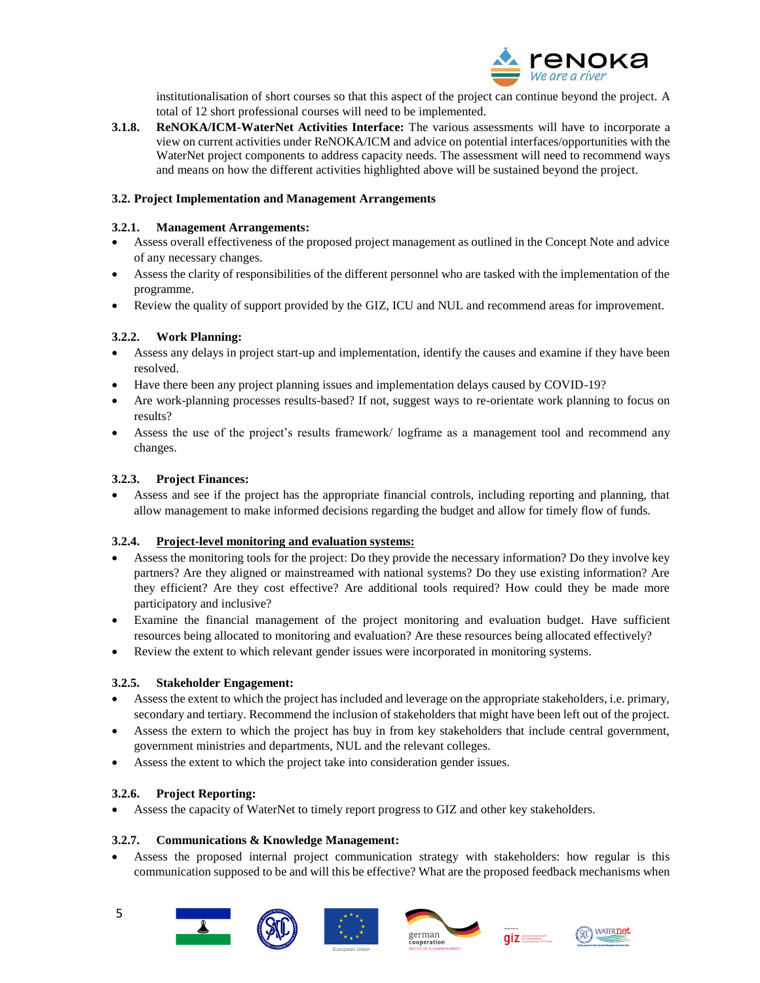

institutionalisation of short courses so that this aspect of the project can continue beyond the project. A total of 12 short professional courses will need to be implemented.

**3.1.8. ReNOKA/ICM-WaterNet Activities Interface:** The various assessments will have to incorporate a view on current activities under ReNOKA/ICM and advice on potential interfaces/opportunities with the WaterNet project components to address capacity needs. The assessment will need to recommend ways and means on how the different activities highlighted above will be sustained beyond the project.

### **3.2. Project Implementation and Management Arrangements**

### **3.2.1. Management Arrangements:**

- Assess overall effectiveness of the proposed project management as outlined in the Concept Note and advice of any necessary changes.
- Assess the clarity of responsibilities of the different personnel who are tasked with the implementation of the programme.
- Review the quality of support provided by the GIZ, ICU and NUL and recommend areas for improvement.

# **3.2.2. Work Planning:**

- Assess any delays in project start-up and implementation, identify the causes and examine if they have been resolved.
- Have there been any project planning issues and implementation delays caused by COVID-19?
- Are work-planning processes results-based? If not, suggest ways to re-orientate work planning to focus on results?
- Assess the use of the project's results framework/ logframe as a management tool and recommend any changes.

# **3.2.3. Project Finances:**

 Assess and see if the project has the appropriate financial controls, including reporting and planning, that allow management to make informed decisions regarding the budget and allow for timely flow of funds.

### **3.2.4. Project-level monitoring and evaluation systems:**

- Assess the monitoring tools for the project: Do they provide the necessary information? Do they involve key partners? Are they aligned or mainstreamed with national systems? Do they use existing information? Are they efficient? Are they cost effective? Are additional tools required? How could they be made more participatory and inclusive?
- Examine the financial management of the project monitoring and evaluation budget. Have sufficient resources being allocated to monitoring and evaluation? Are these resources being allocated effectively?
- Review the extent to which relevant gender issues were incorporated in monitoring systems.

### **3.2.5. Stakeholder Engagement:**

- Assess the extent to which the project has included and leverage on the appropriate stakeholders, i.e. primary, secondary and tertiary. Recommend the inclusion of stakeholders that might have been left out of the project.
- Assess the extern to which the project has buy in from key stakeholders that include central government, government ministries and departments, NUL and the relevant colleges.
- Assess the extent to which the project take into consideration gender issues.

### **3.2.6. Project Reporting:**

Assess the capacity of WaterNet to timely report progress to GIZ and other key stakeholders.

### **3.2.7. Communications & Knowledge Management:**

 Assess the proposed internal project communication strategy with stakeholders: how regular is this communication supposed to be and will this be effective? What are the proposed feedback mechanisms when









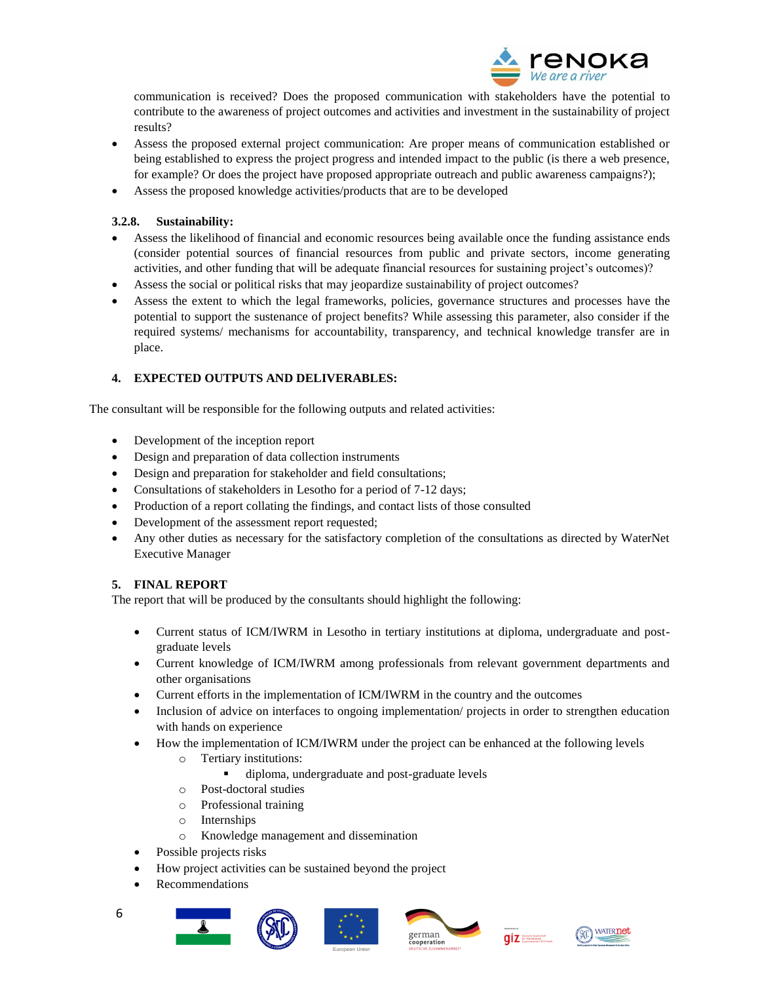

communication is received? Does the proposed communication with stakeholders have the potential to contribute to the awareness of project outcomes and activities and investment in the sustainability of project results?

- Assess the proposed external project communication: Are proper means of communication established or being established to express the project progress and intended impact to the public (is there a web presence, for example? Or does the project have proposed appropriate outreach and public awareness campaigns?);
- Assess the proposed knowledge activities/products that are to be developed

# **3.2.8. Sustainability:**

- Assess the likelihood of financial and economic resources being available once the funding assistance ends (consider potential sources of financial resources from public and private sectors, income generating activities, and other funding that will be adequate financial resources for sustaining project's outcomes)?
- Assess the social or political risks that may jeopardize sustainability of project outcomes?
- Assess the extent to which the legal frameworks, policies, governance structures and processes have the potential to support the sustenance of project benefits? While assessing this parameter, also consider if the required systems/ mechanisms for accountability, transparency, and technical knowledge transfer are in place.

# **4. EXPECTED OUTPUTS AND DELIVERABLES:**

The consultant will be responsible for the following outputs and related activities:

- Development of the inception report
- Design and preparation of data collection instruments
- Design and preparation for stakeholder and field consultations;
- Consultations of stakeholders in Lesotho for a period of 7-12 days;
- Production of a report collating the findings, and contact lists of those consulted
- Development of the assessment report requested;
- Any other duties as necessary for the satisfactory completion of the consultations as directed by WaterNet Executive Manager

# **5. FINAL REPORT**

The report that will be produced by the consultants should highlight the following:

- Current status of ICM/IWRM in Lesotho in tertiary institutions at diploma, undergraduate and postgraduate levels
- Current knowledge of ICM/IWRM among professionals from relevant government departments and other organisations
- Current efforts in the implementation of ICM/IWRM in the country and the outcomes
- Inclusion of advice on interfaces to ongoing implementation/ projects in order to strengthen education with hands on experience
- How the implementation of ICM/IWRM under the project can be enhanced at the following levels
	- o Tertiary institutions:
		- diploma, undergraduate and post-graduate levels
	- o Post-doctoral studies
	- o Professional training
	- o Internships
	- o Knowledge management and dissemination
	- Possible projects risks
- How project activities can be sustained beyond the project
- Recommendations













6